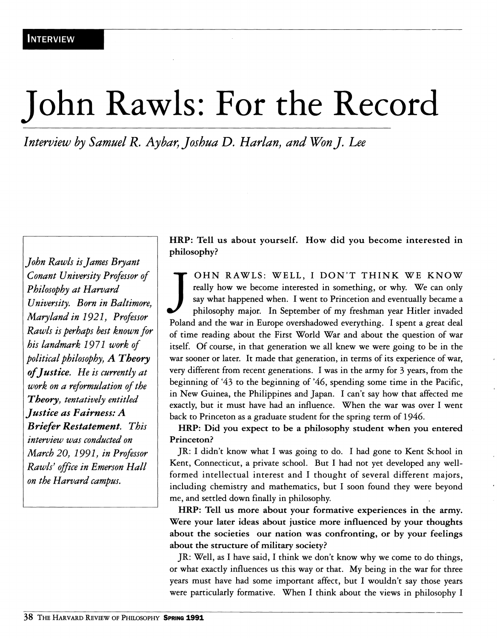## John Rawls: For the Record

*Interview by Samuel R. Aybar, Joshua D. Harlan, and Won J. Lee* 

*John Rawls is James Bryant Conant University Professor of Philosophy at Harvard University. Born in Baltimore^ Maryland in 1921, Professor Rawls is perhaps best known for his landmark 1971 work of political philosophy, A Theory of Justice. He is currently at work on a reformulation of the Theory, tentatively entitled Justice as Fairness: A B riefer Restatement. This interview was conducted on March 20, 1991, in Professor Rawls[ office in Emerson Hall on the Harvard campus.* 

**HRP: Tell us about yourself. How did you become interested in philosophy?** 

J<br>Polar OHN RAWLS: WELL, I DON'T THINK WE KNOW really how we become interested in something, or why. We can only say what happened when. I went to Princetion and eventually became a philosophy major. In September of my freshman year Hitler invaded Poland and the war in Europe overshadowed everything. I spent a great deal of time reading about the First World War and about the question of war itself. Of course, in that generation we all knew we were going to be in the war sooner or later. It made that generation, in terms of its experience of war, very different from recent generations. I was in the army for 3 years, from the beginning of \*43 to the beginning of '46, spending some time in the Pacific, in New Guinea, the Philippines and Japan. I can't say how that affected me exactly, but it must have had an influence. When the war was over I went back to Princeton as a graduate student for the spring term of 1946.

**HRP: Did you expect to be a philosophy student when you entered Princeton?** 

JR: I didn't know what I was going to do. I had gone to Kent School in Kent, Connecticut, a private school. But I had not yet developed any wellformed intellectual interest and I thought of several different majors, including chemistry and mathematics, but I soon found they were beyond me, and settled down finally in philosophy.

**HRP: Tell us more about your formative experiences in the army. Were your later ideas about justice more influenced by your thoughts about the societies our nation was confronting, or by your feelings about the structure of military society?** 

JR: Well, as I have said, I think we don't know why we come to do things, or what exactly influences us this way or that. My being in the war for three years must have had some important affect, but I wouldn't say those years were particularly formative. When I think about the views in philosophy I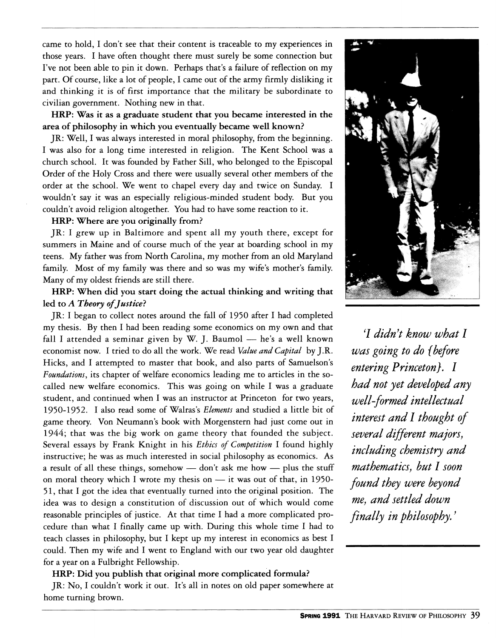came to hold, I don't see that their content is traceable to my experiences in those years. I have often thought there must surely be some connection but I've not been able to pin it down. Perhaps that's a failure of reflection on my part. Of course, like a lot of people, I came out of the army firmly disliking it and thinking it is of first importance that the military be subordinate to civilian government. Nothing new in that.

**HRP: Was it as a graduate student that you became interested in the area of philosophy in which you eventually became well known?** 

JR: Well, I was always interested in moral philosophy, from the beginning. I was also for a long time interested in religion. The Kent School was a church school. It was founded by Father Sill, who belonged to the Episcopal Order of the Holy Cross and there were usually several other members of the order at the school. We went to chapel every day and twice on Sunday. I wouldn't say it was an especially religious-minded student body. But you couldn't avoid religion altogether. You had to have some reaction to it.

## **HRP: Where are you originally from?**

JR: I grew up in Baltimore and spent all my youth there, except for summers in Maine and of course much of the year at boarding school in my teens. My father was from North Carolina, my mother from an old Maryland family. Most of my family was there and so was my wife's mother's family. Many of my oldest friends are still there.

## **HRP: When did you start doing the actual thinking and writing that led to** *A Theory of Justice?*

JR: I began to collect notes around the fall of 1950 after I had completed my thesis. By then I had been reading some economics on my own and that fall I attended a seminar given by W. J. Baumol — he's a well known economist now. I tried to do all the work. We read *Value and Capital* by J.R. Hicks, and I attempted to master that book, and also parts of Samuelson's *Foundations,* its chapter of welfare economics leading me to articles in the socalled new welfare economics. This was going on while I was a graduate student, and continued when I was an instructor at Princeton for two years, **I95O-I952.** I also read some of Walras's *Elements* and studied a little bit of game theory. Von Neumann's book with Morgenstern had just come out in **1944;** that was the big work on game theory that founded the subject. Several essays by Frank Knight in his *Ethics of Competition* I found highly instructive; he was as much interested in social philosophy as economics. As a result of all these things, somehow — don't ask me how — plus the stuff on moral theory which I wrote my thesis on  $-$  it was out of that, in 1950-**51**, that I got the idea that eventually turned into the original position. The idea was to design a constitution of discussion out of which would come reasonable principles of justice. At that time I had a more complicated procedure than what I finally came up with. During this whole time I had to teach classes in philosophy, but I kept up my interest in economics as best I could. Then my wife and I went to England with our two year old daughter for a year on a Fulbright Fellowship.

**HRP: Did you publish that original more complicated formula?** 

JR: No, I couldn't work it out. It's all in notes on old paper somewhere at home turning brown.



**7** *didn't know what I was going to do {before entering Princeton}. I had not yet developed any well-formed intellectual interest and I thought of several different majors, including chemistry and mathematics, but I soon found they were beyond me, and settled down finally in philosophy.'*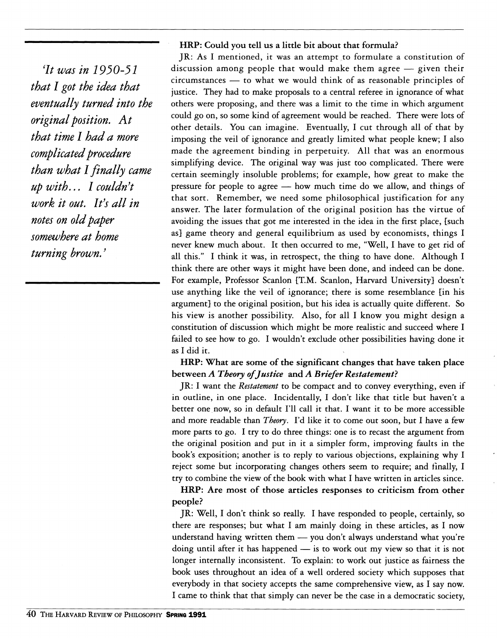*It was in 1930-31 that I got the idea that eventually turned into the original position. At that time I had a more complicated procedure than what I finally came up with... I couldn't work it out. It's all in notes on old paper somewhere at home turning brown.'* 

## **HRP: Could you tell us a little bit about that formula?**

JR: As I mentioned, it was an attempt to formulate a constitution of discussion among people that would make them agree — given their circumstances — to what we would think of as reasonable principles of justice. They had to make proposals to a central referee in ignorance of what others were proposing, and there was a limit to the time in which argument could go on, so some kind of agreement would be reached. There were lots of other details. You can imagine. Eventually, I cut through all of that by imposing the veil of ignorance and greatly limited what people knew; I also made the agreement binding in perpetuity. All that was an enormous simplifying device. The original way was just too complicated. There were certain seemingly insoluble problems; for example, how great to make the pressure for people to agree — how much time do we allow, and things of that sort. Remember, we need some philosophical justification for any answer. The later formulation of the original position has the virtue of avoiding the issues that got me interested in the idea in the first place, [such as] game theory and general equilibrium as used by economists, things I never knew much about. It then occurred to me, "Well, I have to get rid of all this." I think it was, in retrospect, the thing to have done. Although I think there are other ways it might have been done, and indeed can be done. For example. Professor Scanlon [T.M. Scanlon, Harvard University] doesn't use anything like the veil of ignorance; there is some resemblance [in his argument] to the original position, but his idea is actually quite different. So his view is another possibility. Also, for all I know you might design a constitution of discussion which might be more realistic and succeed where I failed to see how to go. I wouldn't exclude other possibilities having done it as I did it.

**HRP: What are some of the significant changes that have taken place between** *A Theory of Justice* **and** *A Briefer Restatement?* 

JR: I want the *Restatement* to be compact and to convey everything, even if in outline, in one place. Incidentally, I don't like that title but haven't a better one now, so in default I'll call it that. I want it to be more accessible and more readable than *Theory,* I'd like it to come out soon, but I have a few more parts to go. I try to do three things: one is to recast the argument from the original position and put in it a simpler form, improving faults in the book's exposition; another is to reply to various objections, explaining why I reject some but incorporating changes others seem to require; and finally, I try to combine the view of the book with what I have written in articles since.

**HRP: Are most of those articles responses to criticism from other people?** 

JR: Well, I don't think so really. I have responded to people, certainly, so there are responses; but what I am mainly doing in these articles, as I now understand having written them — you don't always understand what you're doing until after it has happened — is to work out my view so that it is not longer internally inconsistent. To explain: to work out justice as fairness the book uses throughout an idea of a well ordered society which supposes that everybody in that society accepts the same comprehensive view, as I say now. I came to think that that simply can never be the case in a democratic society.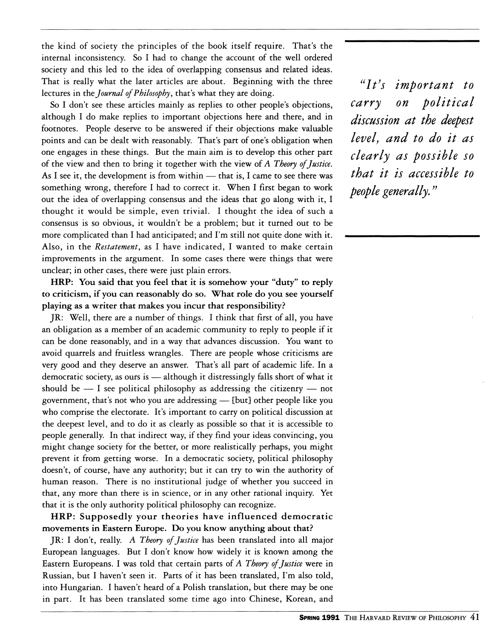the kind of society the principles of the book itself require. That's the internal inconsistency. So I had to change the account of the well ordered society and this led to the idea of overlapping consensus and related ideas. That is really what the later articles are about. Beginning with the three lectures in the *Journal of Philosophy,* that's what they are doing.

So I don't see these articles mainly as replies to other people's objections, although I do make replies to important objections here and there, and in footnotes. People deserve to be answered if their objections make valuable points and can be dealt with reasonably. That's part of one's obligation when one engages in these things. But the main aim is to develop this other part of the view and then to bring it together with the view of *A Theory of Justice,*  As I see it, the development is from within — that is, I came to see there was something wrong, therefore I had to correct it. When I first began to work out the idea of overlapping consensus and the ideas that go along with it, I thought it would be simple, even trivial. I thought the idea of such a consensus is so obvious, it wouldn't be a problem; but it turned out to be more complicated than I had anticipated; and I'm still not quite done with it. Also, in the *Restatement,* as I have indicated, I wanted to make certain improvements in the argument. In some cases there were things that were unclear; in other cases, there were just plain errors.

**HRP:** You said that you feel that it is somehow your "duty" to reply to criticism, if you can reasonably do so. What role do you see yourself playing as a writer that makes you incur that responsibility?

JR: Well, there are a number of things. I think that first of all, you have an obligation as a member of an academic community to reply to people if it can be done reasonably, and in a way that advances discussion. You want to avoid quarrels and fruitless wrangles. There are people whose criticisms are very good and they deserve an answer. That's all part of academic life. In a democratic society, as ours is — although it distressingly falls short of what it should be  $-$  I see political philosophy as addressing the citizenry  $-$  not government, that's not who you are addressing — [but] other people like you who comprise the electorate. It's important to carry on political discussion at the deepest level, and to do it as clearly as possible so that it is accessible to people generally. In that indirect way, if they find your ideas convincing, you might change society for the better, or more realistically perhaps, you might prevent it from getting worse. In a democratic society, political philosophy doesn't, of course, have any authority; but it can try to win the authority of human reason. There is no institutional judge of whether you succeed in that, any more than there is in science, or in any other rational inquiry. Yet that it is the only authority political philosophy can recognize.

**HRP:** Supposedly your theories have influenced democratic movements in Eastern Europe. Do you know anything about that?

JR: I don't, really. *A Theory of Justice* has been translated into all major European languages. But I don't know how widely it is known among the Eastern Europeans. I was told that certain parts of *A Theory of Justice* were in Russian, but I haven't seen it. Parts of it has been translated, I'm also told, into Hungarian. I haven't heard of a Polish translation, but there may be one in part. It has been translated some time ago into Chinese, Korean, and

*''It^s important to carry on political discussion at the deepest level, and to do it as clearly as possible so that it is accessible to people generally.*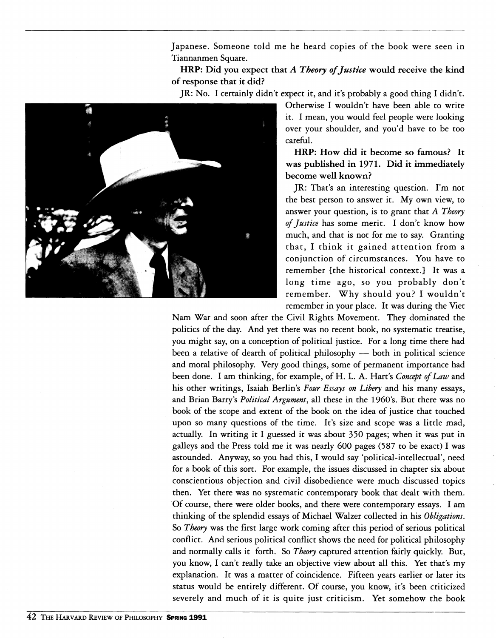Japanese. Someone told me he heard copies of the book were seen in Tiannanmen Square.

HRP: Did you expect that *A Theory of Justice* would receive the kind of response that it did?

JR: No. I certainly didn't expect it, and it's probably a good thing I didn't.



Otherwise I wouldn't have been able to write it. I mean, you would feel people were looking over your shoulder, and you'd have to be too careful.

HRP: How did it become so famous? It was published in 1971. Did it immediately become well known?

JR: That's an interesting question. I'm not the best person to answer it. My own view, to answer your question, is to grant that *A Theory of Justice* has some merit. I don't know how much, and that is not for me to say. Granting that, I think it gained attention from a conjunction of circumstances. You have to remember [the historical context.] It was a long time ago, so you probably don't remember. Why should you? I wouldn't remember in your place. It was during the Viet

Nam War and soon after the Civil Rights Movement. They dominated the politics of the day. And yet there was no recent book, no systematic treatise, you might say, on a conception of political justice. For a long time there had been a relative of dearth of political philosophy — both in political science and moral philosophy. Very good things, some of permanent importance had been done. I am thinking, for example, of H. L. A. Hart's *Concept of Law* and his other writings, Isaiah Berlin's *Four Essays on Libery* and his many essays, and Brian Barry's *Political Argument*, all these in the 1960's. But there was no book of the scope and extent of the book on the idea of justice that touched upon so many questions of the time. It's size and scope was a little mad, actually. In writing it I guessed it was about 350 pages; when it was put in galleys and the Press told me it was nearly 600 pages (587 to be exact) I was astounded. Anyway, so you had this, I would say 'political-intellectual', need for a book of this sort. For example, the issues discussed in chapter six about conscientious objection and civil disobedience were much discussed topics then. Yet there was no systematic contemporary book that dealt with them. Of course, there were older books, and there were contemporary essays. I am thinking of the splendid essays of Michael Walzer collected in his *Obligations.*  So *Theory* was the first large work coming after this period of serious political conflict. And serious political conflict shows the need for political philosophy and normally calls it forth. So *Theory* captured attention fairly quickly. But, you know, I can't really take an objective view about all this. Yet that's my explanation. It was a matter of coincidence. Fifteen years earlier or later its status would be entirely different. Of course, you know, it's been criticized severely and much of it is quite just criticism. Yet somehow the book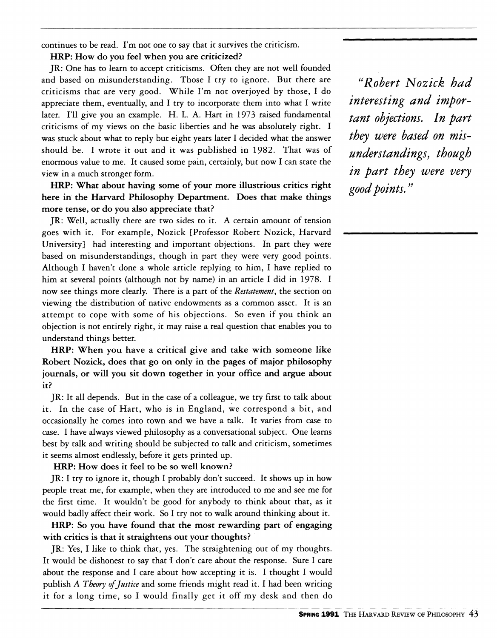continues to be read. I'm not one to say that it survives the criticism.

HRP: How do you feel when you are criticized?

JR: One has to learn to accept criticisms. Often they are not well founded and based on misunderstanding. Those I try to ignore. But there are criticisms that are very good. While I'm not overjoyed by those, I do appreciate them, eventually, and I try to incorporate them into what I write later. I'll give you an example. H. L. A. Hart in 1973 raised fundamental criticisms of my views on the basic liberties and he was absolutely right. I was stuck about what to reply but eight years later I decided what the answer should be. I wrote it out and it was published in 1982. That was of enormous value to me. It caused some pain, certainly, but now I can state the view in a much stronger form.

HRP: What about having some of your more illustrious critics right here in the Harvard Philosophy Department. Does that make things more tense, or do you also appreciate that?

JR: Well, actually there are two sides to it. A certain amount of tension goes with it. For example, Nozick [Professor Robert Nozick, Harvard University] had interesting and important objections. In part they were based on misunderstandings, though in part they were very good points. Although I haven't done a whole article replying to him, I have replied to him at several points (although not by name) in an article I did in 1978. I now see things more clearly. There is a part of the *Restatement,* the section on viewing the distribution of native endowments as a common asset. It is an attempt to cope with some of his objections. So even if you think an objection is not entirely right, it may raise a real question that enables you to understand things better.

HRP: When you have a critical give and take with someone like Robert Nozick, does that go on only in the pages of major philosophy journals, or will you sit down together in your office and argue about it?

JR: It all depends. But in the case of a colleague, we try first to talk about it. In the case of Hart, who is in England, we correspond a bit, and occasionally he comes into town and we have a talk. It varies from case to case. I have always viewed philosophy as a conversational subject. One learns best by talk and writing should be subjected to talk and criticism, sometimes it seems almost endlessly, before it gets printed up.

HRP: How does it feel to be so well known?

JR: I try to ignore it, though I probably don't succeed. It shows up in how people treat me, for example, when they are introduced to me and see me for the first time. It wouldn't be good for anybody to think about that, as it would badly affect their work. So I try not to walk around thinking about it.

HRP: So you have found that the most rewarding part of engaging with critics is that it straightens out your thoughts?

JR: Yes, I like to think that, yes. The straightening out of my thoughts. It would be dishonest to say that I don't care about the response. Sure I care about the response and I care about how accepting it is. I thought I would publish *A Theory of Justice* and some friends might read it. I had been writing it for a long time, so I would finally get it off my desk and then do

*''Robert Nozick had interesting and important objections. In part they were based on misunderstandings, though in part they were very good points.*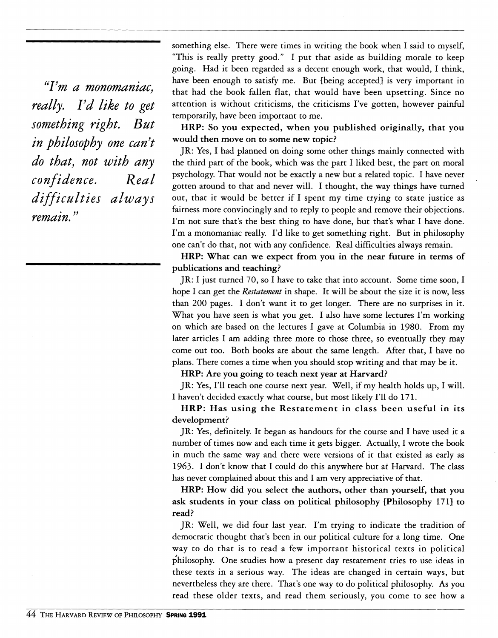*'Tm a monomaniac, really. Vd like to get something right. But in philosophy one can^t do that, not with any confidence. Real diff i cu Iti es a I way s remain.* 

something else. There were times in writing the book when I said to myself, "This is really pretty good." I put that aside as building morale to keep going. Had it been regarded as a decent enough work, that would, I think, have been enough to satisfy me. But [being accepted] is very important in that had the book fallen flat, that would have been upsetting. Since no attention is without criticisms, the criticisms I've gotten, however painful temporarily, have been important to me.

HRP: So you expected, when you published originally, that you **would then move on to some new topic?** 

JR: Yes, I had planned on doing some other things mainly connected with the third part of the book, which was the part I liked best, the part on moral psychology. That would not be exactly a new but a related topic. I have never gotten around to that and never will. I thought, the way things have turned out, that it would be better if I spent my time trying to state justice as fairness more convincingly and to reply to people and remove their objections. I'm not sure that's the best thing to have done, but that's what I have done. I'm a monomaniac really. I'd like to get something right. But in philosophy one can't do that, not with any confidence. Real difficulties always remain.

**HRP: What can we expect from you in the near future in terms of publications and teaching?** 

JR: I just turned 70, so I have to take that into account. Some time soon, I hope I can get the *Restatement* in shape. It will be about the size it is now, less than 200 pages. I don't want it to get longer. There are no surprises in it. What you have seen is what you get. I also have some lectures I'm working on which are based on the lectures I gave at Columbia in 1980. From my later articles I am adding three more to those three, so eventually they may come out too. Both books are about the same length. After that, I have no plans. There comes a time when you should stop writing and that may be it.

**HRP: Are you going to teach next year at Harvard?** 

JR: Yes, I'll teach one course next year. Well, if my health holds up, I will. I haven't decided exactly what course, but most likely I'll do 171.

**HRP: Has using the Restatement in class been useful in its**  development?

JR: Yes, definitely. It began as handouts for the course and I have used it a number of times now and each time it gets bigger. Actually, I wrote the book in much the same way and there were versions of it that existed as early as **1963.** I don't know that I could do this anywhere but at Harvard. The class has never complained about this and I am very appreciative of that.

**HRP: How did you select the authors, other than yourself, that you ask students in your class on political philosophy {Philosophy** 171} **to read?** 

JR: Well, we did four last year. I'm trying to indicate the tradition of democratic thought that's been in our political culture for a long time. One way to do that is to read a few important historical texts in political philosophy. One studies how a present day restatement tries to use ideas in these texts in a serious way. The ideas are changed in certain ways, but nevertheless they are there. That's one way to do political philosophy. As you read these older texts, and read them seriously, you come to see how a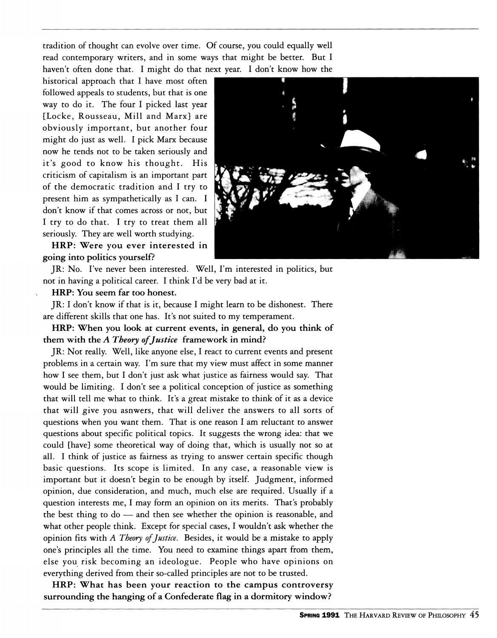tradition of thought can evolve over time. Of course, you could equally well read contemporary writers, and in some ways that might be better. But I haven't often done that. I might do that next year. I don't know how the

historical approach that I have most often followed appeals to students, but that is one way to do it. The four I picked last year [Locke, Rousseau, Mill and Marx] are obviously important, but another four might do just as well. I pick Marx because now he tends not to be taken seriously and it's good to know his thought. His criticism of capitalism is an important part of the democratic tradition and I try to present him as sympathetically as I can. I don't know if that comes across or not, but I try to do that. I try to treat them all seriously. They are well worth studying.

**HRP:** Were you ever interested in going into politics yourself?

JR: No. I've never been interested. Well, I'm interested in politics, but not in having a political career. I think I'd be very bad at it.

**HRP:** You seem far too honest.

JR: I don't know if that is it, because I might learn to be dishonest. There are different skills that one has. It's not suited to my temperament.

**HRP:** When you look at current events, in general, do you think of them with the *A Theory of Justice* framework in mind?

JR: Not really. Well, like anyone else, I react to current events and present problems in a certain way. I'm sure that my view must affect in some manner how I see them, but I don't just ask what justice as fairness would say. That would be limiting. I don't see a political conception of justice as something that will tell me what to think. It's a great mistake to think of it as a device that will give you asnwers, that will deliver the answers to all sorts of questions when you want them. That is one reason I am reluctant to answer questions about specific political topics. It suggests the wrong idea: that we could [have] some theoretical way of doing that, which is usually not so at all. I think of justice as fairness as trying to answer certain specific though basic questions. Its scope is limited. In any case, a reasonable view is important but it doesn't begin to be enough by itself. Judgment, informed opinion, due consideration, and much, much else are required. Usually if a question interests me, I may form an opinion on its merits. That's probably the best thing to do — and then see whether the opinion is reasonable, and what other people think. Except for special cases, I wouldn't ask whether the opinion fits with *A Theory of Justice.* Besides, it would be a mistake to apply one's principles all the time. You need to examine things apart from them, else you risk becoming an ideologue. People who have opinions on everything derived from their so-called principles are not to be trusted.

**HRP:** What has been your reaction to the campus controversy surrounding the hanging of a Confederate flag in a dormitory window?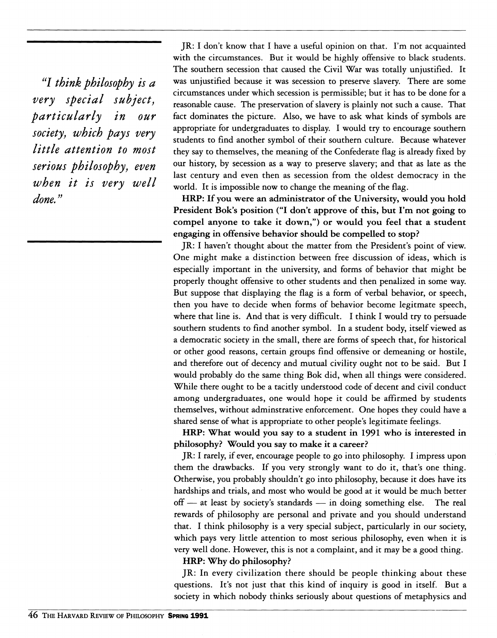*'1 think philosophy is a very special subject, particularly in our society, which pays very little attention to most serious philosophy, even when it is very well done.''* 

JR: I don't know that I have a useful opinion on that. I'm not acquainted with the circumstances. But it would be highly offensive to black students. The southern secession that caused the Civil War was totally unjustified. It was unjustified because it was secession to preserve slavery. There are some circumstances under which secession is permissible; but it has to be done for a reasonable cause. The preservation of slavery is plainly not such a cause. That fact dominates the picture. Also, we have to ask what kinds of symbols are appropriate for undergraduates to display. I would try to encourage southern students to find another symbol of their southern culture. Because whatever they say to themselves, the meaning of the Confederate flag is already fixed by our history, by secession as a way to preserve slavery; and that as late as the last century and even then as secession from the oldest democracy in the world. It is impossible now to change the meaning of the flag.

**HRP: If you were an administrator of the University, would you hold President Bok's position ("I don't approve of this, but I'm not going to compel anyone to take it down,") or would you feel that a student engaging in offensive behavior should be compelled to stop?** 

JR: I haven't thought about the matter from the President's point of view. One might make a distinction between free discussion of ideas, which is especially important in the university, and forms of behavior that might be properly thought offensive to other students and then penalized in some way. But suppose that displaying the flag is a form of verbal behavior, or speech, then you have to decide when forms of behavior become legitmate speech, where that line is. And that is very difficult. I think I would try to persuade southern students to find another symbol. In a student body, itself viewed as a democratic society in the small, there are forms of speech that, for historical or other good reasons, certain groups find offensive or demeaning or hostile, and therefore out of decency and mutual civility ought not to be said. But I would probably do the same thing Bok did, when all things were considered. While there ought to be a tacitly understood code of decent and civil conduct among undergraduates, one would hope it could be affirmed by students themselves, without adminstrative enforcement. One hopes they could have a shared sense of what is appropriate to other people's legitimate feelings.

**HRP: What would you say to a student in 1991 who is interested in philosophy? Would you say to make it a career?** 

JR: I rarely, if ever, encourage people to go into philosophy. I impress upon them the drawbacks. If you very strongly want to do it, that's one thing. Otherwise, you probably shouldn't go into philosophy, because it does have its hardships and trials, and most who would be good at it would be much better off — at least by society's standards — in doing something else. The real rewards of philosophy are personal and private and you should understand that. I think philosophy is a very special subject, particularly in our society, which pays very little attention to most serious philosophy, even when it is very well done. However, this is not a complaint, and it may be a good thing.

**HRP: Why do philosophy?** 

JR: In every civilization there should be people thinking about these questions. It's not just that this kind of inquiry is good in itself. But a society in which nobody thinks seriously about questions of metaphysics and